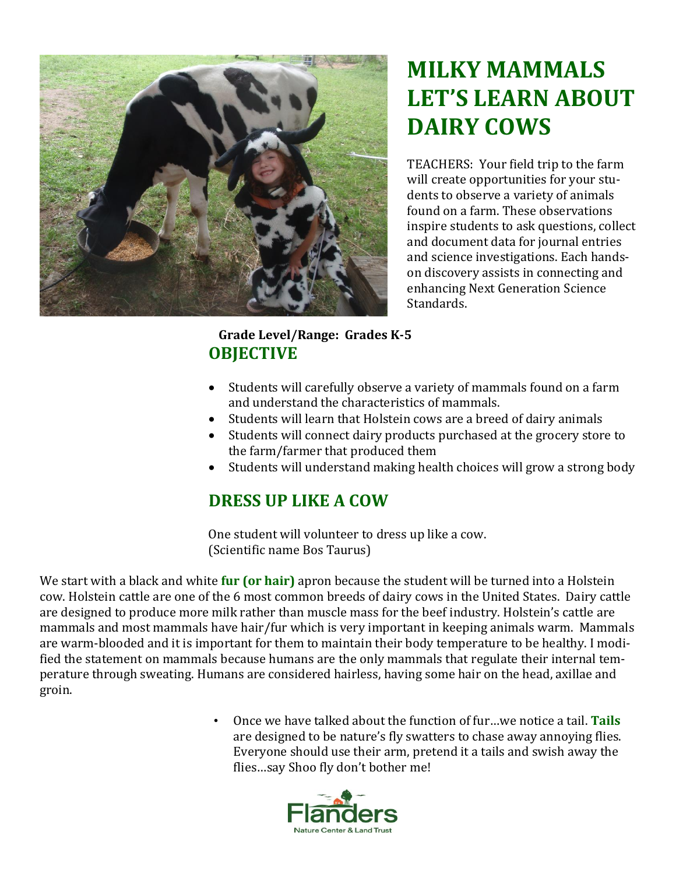

# **MILKY MAMMALS LET'S LEARN ABOUT DAIRY COWS**

TEACHERS: Your field trip to the farm will create opportunities for your students to observe a variety of animals found on a farm. These observations inspire students to ask questions, collect and document data for journal entries and science investigations. Each handson discovery assists in connecting and enhancing Next Generation Science Standards.

### **Grade Level/Range: Grades K-5 OBJECTIVE**

- Students will carefully observe a variety of mammals found on a farm and understand the characteristics of mammals.
- Students will learn that Holstein cows are a breed of dairy animals
- Students will connect dairy products purchased at the grocery store to the farm/farmer that produced them
- Students will understand making health choices will grow a strong body

### **DRESS UP LIKE A COW**

One student will volunteer to dress up like a cow. (Scientific name Bos Taurus)

We start with a black and white **fur (or hair)** apron because the student will be turned into a Holstein cow. Holstein cattle are one of the 6 most common breeds of dairy cows in the United States. Dairy cattle are designed to produce more milk rather than muscle mass for the beef industry. Holstein's cattle are mammals and most mammals have hair/fur which is very important in keeping animals warm. Mammals are warm-blooded and it is important for them to maintain their body temperature to be healthy. I modified the statement on mammals because humans are the only mammals that regulate their internal temperature through sweating. Humans are considered hairless, having some hair on the head, axillae and groin.

> • Once we have talked about the function of fur…we notice a tail. **Tails** are designed to be nature's fly swatters to chase away annoying flies. Everyone should use their arm, pretend it a tails and swish away the flies…say Shoo fly don't bother me!

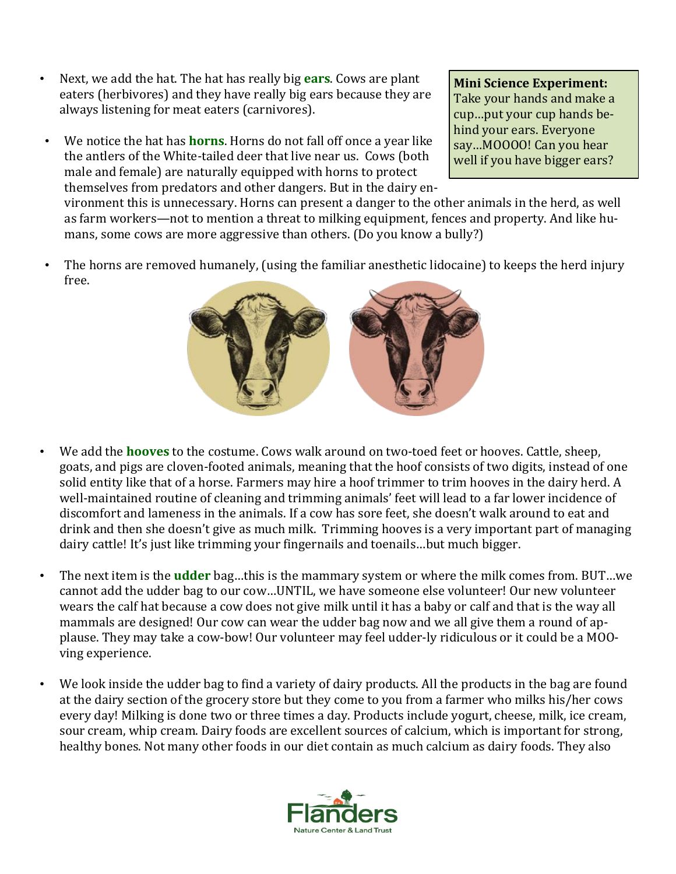- Next, we add the hat. The hat has really big **ears**. Cows are plant eaters (herbivores) and they have really big ears because they are always listening for meat eaters (carnivores).
- We notice the hat has **horns**. Horns do not fall off once a year like the antlers of the White-tailed deer that live near us. Cows (both male and female) are naturally equipped with horns to protect themselves from predators and other dangers. But in the dairy en-

**Mini Science Experiment:** Take your hands and make a cup…put your cup hands behind your ears. Everyone say…MOOOO! Can you hear well if you have bigger ears?

vironment this is unnecessary. Horns can present a danger to the other animals in the herd, as well as farm workers—not to mention a threat to milking equipment, fences and property. And like humans, some cows are more aggressive than others. (Do you know a bully?)

• The horns are removed humanely, (using the familiar anesthetic lidocaine) to keeps the herd injury free.



- We add the **hooves** to the costume. Cows walk around on two-toed feet or hooves. Cattle, sheep, goats, and pigs are cloven-footed animals, meaning that the hoof consists of two digits, instead of one solid entity like that of a horse. Farmers may hire a hoof trimmer to trim hooves in the dairy herd. A well-maintained routine of cleaning and trimming animals' feet will lead to a far lower incidence of discomfort and lameness in the animals. If a cow has sore feet, she doesn't walk around to eat and drink and then she doesn't give as much milk. Trimming hooves is a very important part of managing dairy cattle! It's just like trimming your fingernails and toenails…but much bigger.
- The next item is the **udder** bag…this is the mammary system or where the milk comes from. BUT…we cannot add the udder bag to our cow…UNTIL, we have someone else volunteer! Our new volunteer wears the calf hat because a cow does not give milk until it has a baby or calf and that is the way all mammals are designed! Our cow can wear the udder bag now and we all give them a round of applause. They may take a cow-bow! Our volunteer may feel udder-ly ridiculous or it could be a MOOving experience.
- We look inside the udder bag to find a variety of dairy products. All the products in the bag are found at the dairy section of the grocery store but they come to you from a farmer who milks his/her cows every day! Milking is done two or three times a day. Products include yogurt, cheese, milk, ice cream, sour cream, whip cream. Dairy foods are excellent sources of calcium, which is important for strong, healthy bones. Not many other foods in our diet contain as much calcium as dairy foods. They also

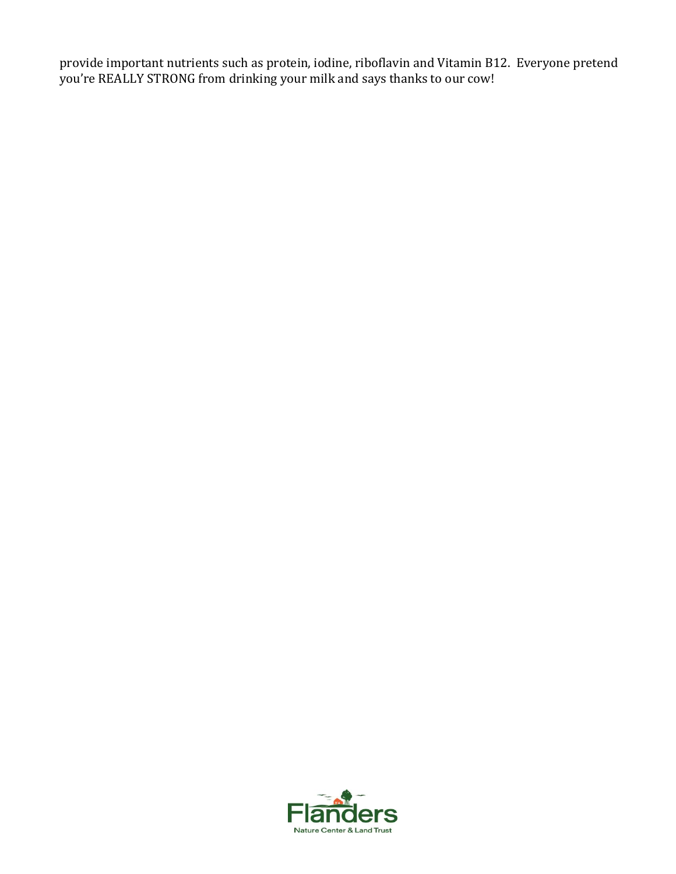provide important nutrients such as protein, iodine, riboflavin and Vitamin B12. Everyone pretend you're REALLY STRONG from drinking your milk and says thanks to our cow!

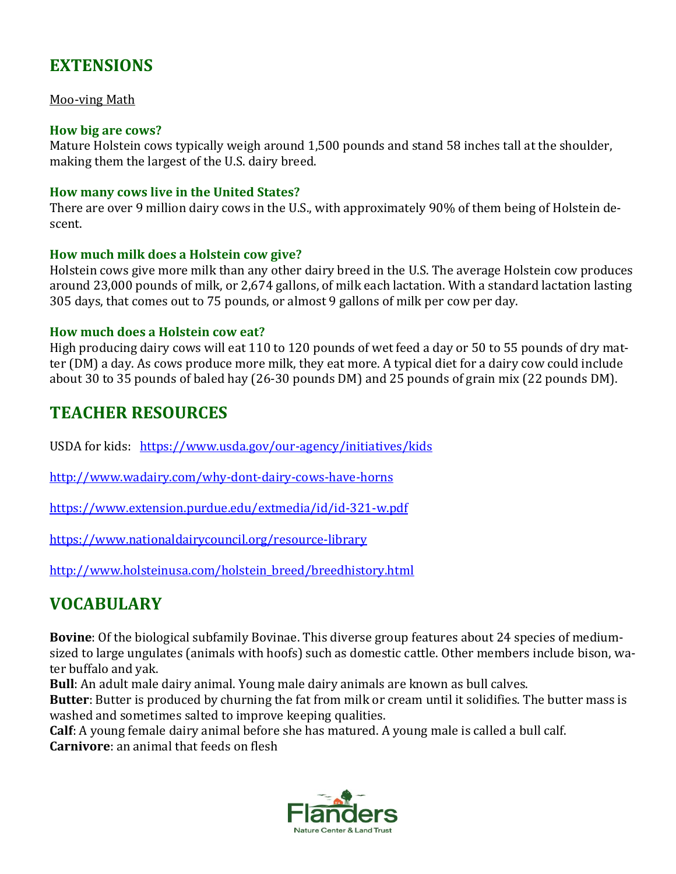## **EXTENSIONS**

#### Moo-ving Math

#### **How big are cows?**

Mature Holstein cows typically weigh around 1,500 pounds and stand 58 inches tall at the shoulder, making them the largest of the U.S. dairy breed.

#### **How many cows live in the United States?**

There are over 9 million dairy cows in the U.S., with approximately 90% of them being of Holstein descent.

#### **How much milk does a Holstein cow give?**

Holstein cows give more milk than any other dairy breed in the U.S. The average Holstein cow produces around 23,000 pounds of milk, or 2,674 gallons, of milk each lactation. With a standard lactation lasting 305 days, that comes out to 75 pounds, or almost 9 gallons of milk per cow per day.

#### **How much does a Holstein cow eat?**

High producing dairy cows will eat 110 to 120 pounds of wet feed a day or 50 to 55 pounds of dry matter (DM) a day. As cows produce more milk, they eat more. A typical diet for a dairy cow could include about 30 to 35 pounds of baled hay (26-30 pounds DM) and 25 pounds of grain mix (22 pounds DM).

### **TEACHER RESOURCES**

USDA for kids: <https://www.usda.gov/our-agency/initiatives/kids>

<http://www.wadairy.com/why-dont-dairy-cows-have-horns>

<https://www.extension.purdue.edu/extmedia/id/id-321-w.pdf>

<https://www.nationaldairycouncil.org/resource-library>

[http://www.holsteinusa.com/holstein\\_breed/breedhistory.html](http://www.holsteinusa.com/holstein_breed/breedhistory.html)

## **VOCABULARY**

**Bovine**: Of the biological subfamily Bovinae. This diverse group features about 24 species of mediumsized to large ungulates (animals with hoofs) such as domestic cattle. Other members include bison, water buffalo and yak.

**Bull**: An adult male dairy animal. Young male dairy animals are known as bull calves.

**Butter**: Butter is produced by churning the fat from milk or cream until it solidifies. The butter mass is washed and sometimes salted to improve keeping qualities.

**Calf**: A young female dairy animal before she has matured. A young male is called a bull calf.

**Carnivore**: an animal that feeds on flesh

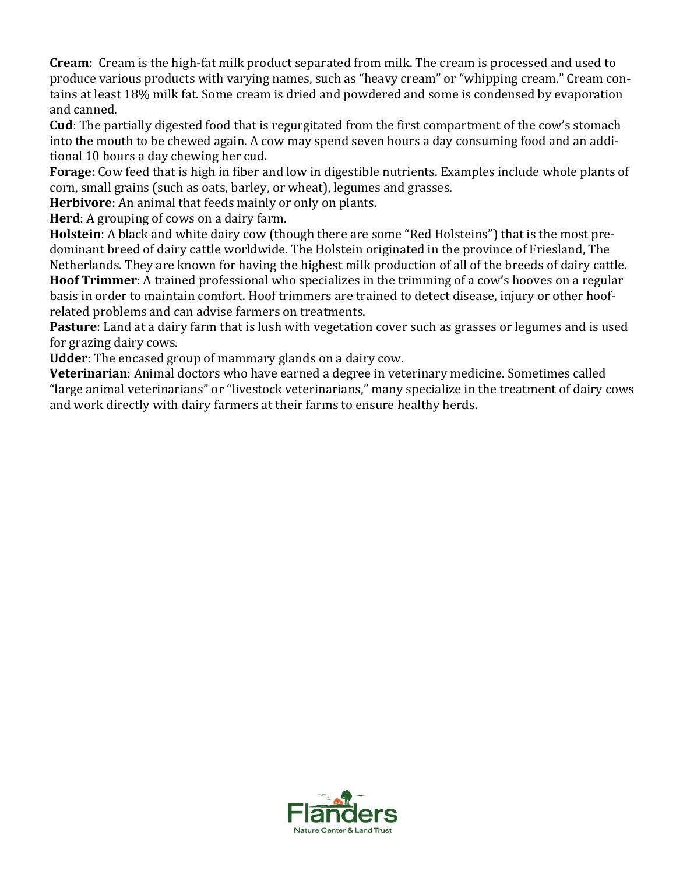**Cream**: Cream is the high-fat milk product separated from milk. The cream is processed and used to produce various products with varying names, such as "heavy cream" or "whipping cream." Cream contains at least 18% milk fat. Some cream is dried and powdered and some is condensed by evaporation and canned.

**Cud**: The partially digested food that is regurgitated from the first compartment of the cow's stomach into the mouth to be chewed again. A cow may spend seven hours a day consuming food and an additional 10 hours a day chewing her cud.

**Forage**: Cow feed that is high in fiber and low in digestible nutrients. Examples include whole plants of corn, small grains (such as oats, barley, or wheat), legumes and grasses.

**Herbivore**: An animal that feeds mainly or only on plants.

**Herd**: A grouping of cows on a dairy farm.

**Holstein**: A black and white dairy cow (though there are some "Red Holsteins") that is the most predominant breed of dairy cattle worldwide. The Holstein originated in the province of Friesland, The Netherlands. They are known for having the highest milk production of all of the breeds of dairy cattle.

**Hoof Trimmer**: A trained professional who specializes in the trimming of a cow's hooves on a regular basis in order to maintain comfort. Hoof trimmers are trained to detect disease, injury or other hoofrelated problems and can advise farmers on treatments.

**Pasture**: Land at a dairy farm that is lush with vegetation cover such as grasses or legumes and is used for grazing dairy cows.

**Udder**: The encased group of mammary glands on a dairy cow.

**Veterinarian**: Animal doctors who have earned a degree in veterinary medicine. Sometimes called "large animal veterinarians" or "livestock veterinarians," many specialize in the treatment of dairy cows and work directly with dairy farmers at their farms to ensure healthy herds.